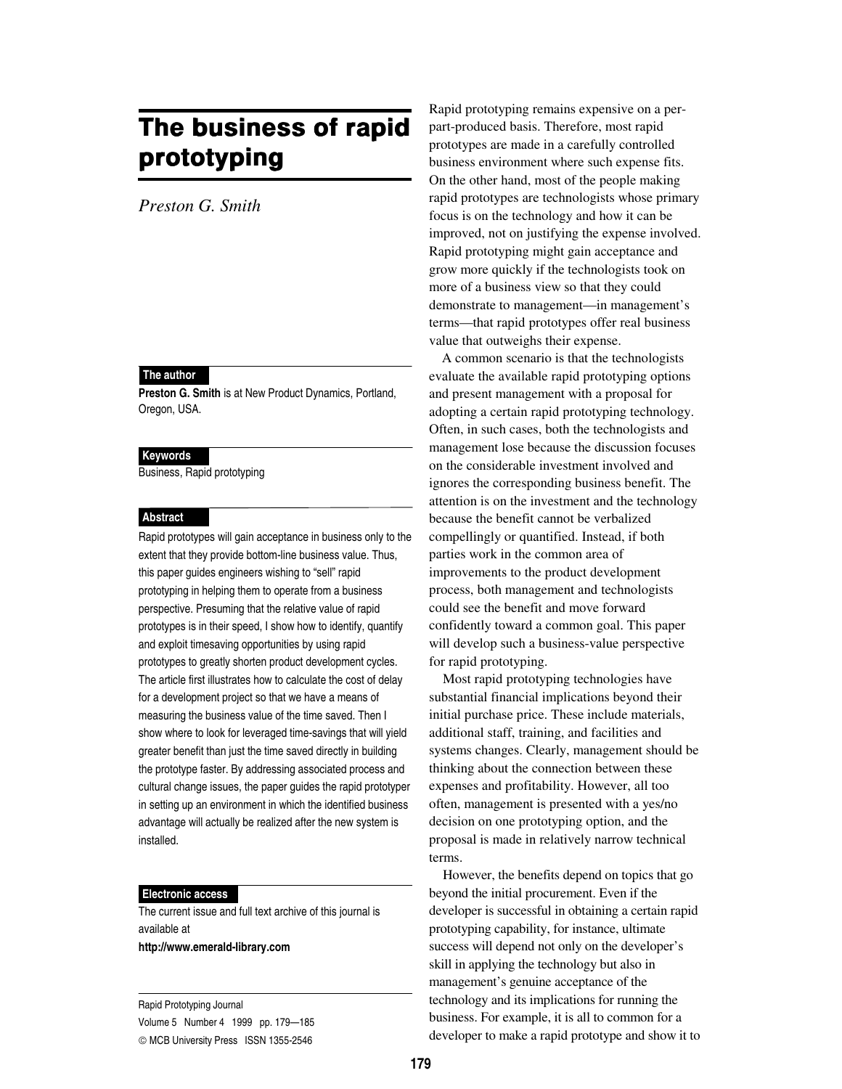# The business of rapid prototyping prototyping

*Preston G. Smith*

#### **The author**

**Preston G. Smith** is at New Product Dynamics, Portland, Oregon, USA.

## **Keywords**

Business, Rapid prototyping

## **Abstract**

Rapid prototypes will gain acceptance in business only to the extent that they provide bottom-line business value. Thus, this paper guides engineers wishing to "sell" rapid prototyping in helping them to operate from a business perspective. Presuming that the relative value of rapid prototypes is in their speed, I show how to identify, quantify and exploit timesaving opportunities by using rapid prototypes to greatly shorten product development cycles. The article first illustrates how to calculate the cost of delay for a development project so that we have a means of measuring the business value of the time saved. Then I show where to look for leveraged time-savings that will yield greater benefit than just the time saved directly in building the prototype faster. By addressing associated process and cultural change issues, the paper guides the rapid prototyper in setting up an environment in which the identified business advantage will actually be realized after the new system is installed.

#### **Electronic access**

The current issue and full text archive of this journal is available at

**http://www.emerald-Iibrary.com**

Rapid Prototyping Journal Volume 5 Number 4 1999 pp. 179—185 MCB University Press ISSN 1355-2546 Rapid prototyping remains expensive on a perpart-produced basis. Therefore, most rapid prototypes are made in a carefully controlled business environment where such expense fits. On the other hand, most of the people making rapid prototypes are technologists whose primary focus is on the technology and how it can be improved, not on justifying the expense involved. Rapid prototyping might gain acceptance and grow more quickly if the technologists took on more of a business view so that they could demonstrate to management—in management's terms—that rapid prototypes offer real business value that outweighs their expense.

A common scenario is that the technologists evaluate the available rapid prototyping options and present management with a proposal for adopting a certain rapid prototyping technology. Often, in such cases, both the technologists and management lose because the discussion focuses on the considerable investment involved and ignores the corresponding business benefit. The attention is on the investment and the technology because the benefit cannot be verbalized compellingly or quantified. Instead, if both parties work in the common area of improvements to the product development process, both management and technologists could see the benefit and move forward confidently toward a common goal. This paper will develop such a business-value perspective for rapid prototyping.

Most rapid prototyping technologies have substantial financial implications beyond their initial purchase price. These include materials, additional staff, training, and facilities and systems changes. Clearly, management should be thinking about the connection between these expenses and profitability. However, all too often, management is presented with a yes/no decision on one prototyping option, and the proposal is made in relatively narrow technical terms.

However, the benefits depend on topics that go beyond the initial procurement. Even if the developer is successful in obtaining a certain rapid prototyping capability, for instance, ultimate success will depend not only on the developer's skill in applying the technology but also in management's genuine acceptance of the technology and its implications for running the business. For example, it is all to common for a developer to make a rapid prototype and show it to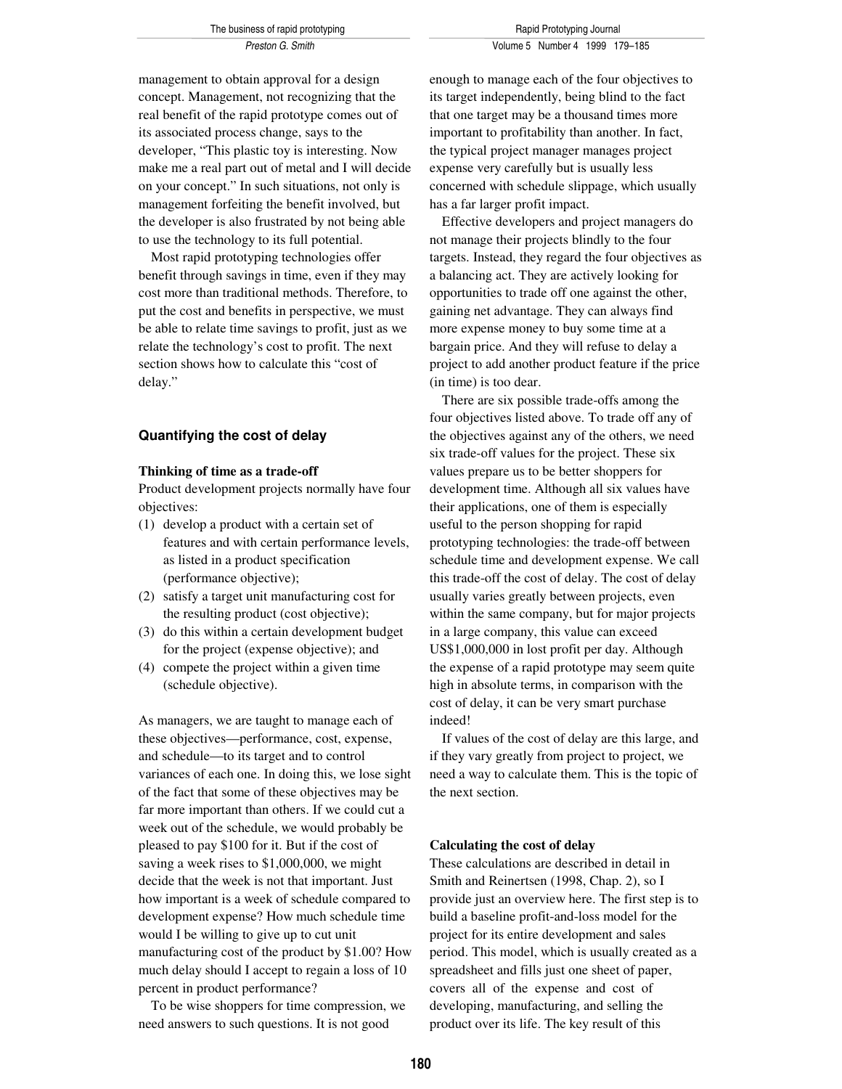management to obtain approval for a design concept. Management, not recognizing that the real benefit of the rapid prototype comes out of its associated process change, says to the developer, "This plastic toy is interesting. Now make me a real part out of metal and I will decide on your concept." In such situations, not only is management forfeiting the benefit involved, but the developer is also frustrated by not being able to use the technology to its full potential.

Most rapid prototyping technologies offer benefit through savings in time, even if they may cost more than traditional methods. Therefore, to put the cost and benefits in perspective, we must be able to relate time savings to profit, just as we relate the technology's cost to profit. The next section shows how to calculate this "cost of delay."

# **Quantifying the cost of delay**

# **Thinking of time as a trade-off**

Product development projects normally have four objectives:

- (1) develop a product with a certain set of features and with certain performance levels, as listed in a product specification (performance objective);
- (2) satisfy a target unit manufacturing cost for the resulting product (cost objective);
- (3) do this within a certain development budget for the project (expense objective); and
- (4) compete the project within a given time (schedule objective).

As managers, we are taught to manage each of these objectives—performance, cost, expense, and schedule—to its target and to control variances of each one. In doing this, we lose sight of the fact that some of these objectives may be far more important than others. If we could cut a week out of the schedule, we would probably be pleased to pay \$100 for it. But if the cost of saving a week rises to \$1,000,000, we might decide that the week is not that important. Just how important is a week of schedule compared to development expense? How much schedule time would I be willing to give up to cut unit manufacturing cost of the product by \$1.00? How much delay should I accept to regain a loss of 10 percent in product performance?

To be wise shoppers for time compression, we need answers to such questions. It is not good

enough to manage each of the four objectives to its target independently, being blind to the fact that one target may be a thousand times more important to profitability than another. In fact, the typical project manager manages project expense very carefully but is usually less concerned with schedule slippage, which usually has a far larger profit impact.

Effective developers and project managers do not manage their projects blindly to the four targets. Instead, they regard the four objectives as a balancing act. They are actively looking for opportunities to trade off one against the other, gaining net advantage. They can always find more expense money to buy some time at a bargain price. And they will refuse to delay a project to add another product feature if the price (in time) is too dear.

There are six possible trade-offs among the four objectives listed above. To trade off any of the objectives against any of the others, we need six trade-off values for the project. These six values prepare us to be better shoppers for development time. Although all six values have their applications, one of them is especially useful to the person shopping for rapid prototyping technologies: the trade-off between schedule time and development expense. We call this trade-off the cost of delay. The cost of delay usually varies greatly between projects, even within the same company, but for major projects in a large company, this value can exceed US\$1,000,000 in lost profit per day. Although the expense of a rapid prototype may seem quite high in absolute terms, in comparison with the cost of delay, it can be very smart purchase indeed!

If values of the cost of delay are this large, and if they vary greatly from project to project, we need a way to calculate them. This is the topic of the next section.

# **Calculating the cost of delay**

These calculations are described in detail in Smith and Reinertsen (1998, Chap. 2), so I provide just an overview here. The first step is to build a baseline profit-and-loss model for the project for its entire development and sales period. This model, which is usually created as a spreadsheet and fills just one sheet of paper, covers all of the expense and cost of developing, manufacturing, and selling the product over its life. The key result of this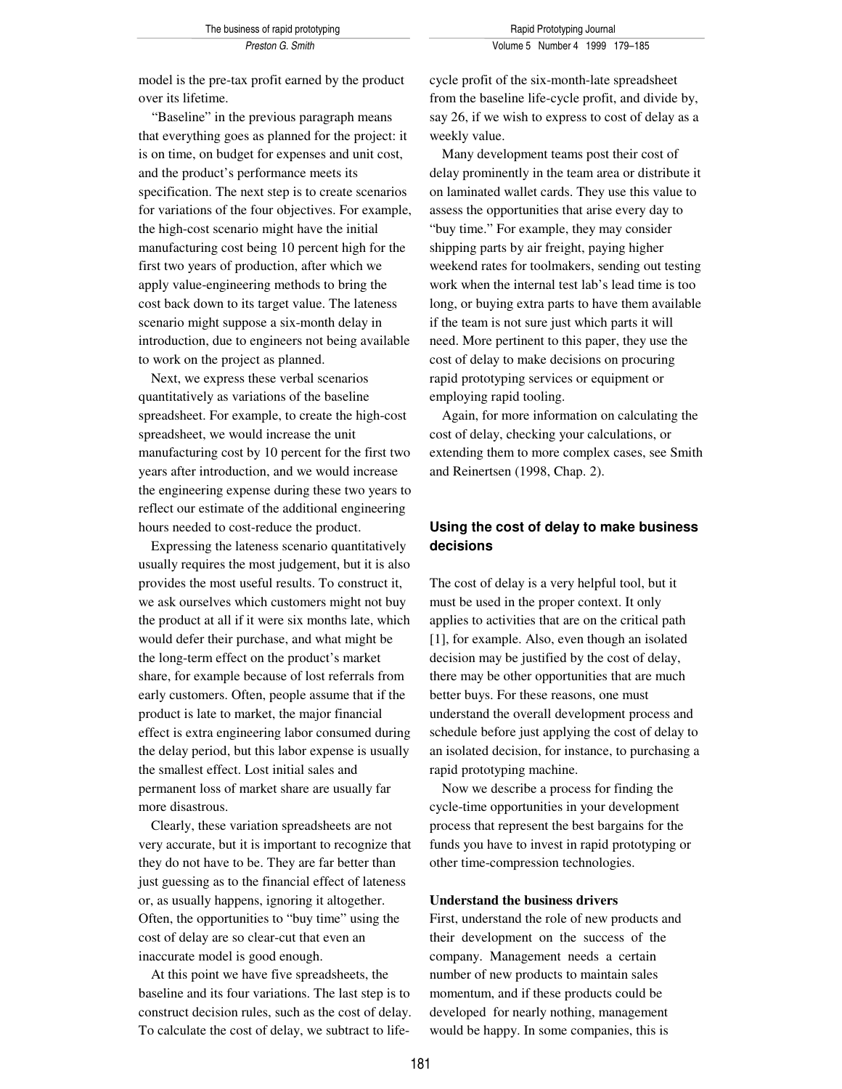model is the pre-tax profit earned by the product over its lifetime.

"Baseline" in the previous paragraph means that everything goes as planned for the project: it is on time, on budget for expenses and unit cost, and the product's performance meets its specification. The next step is to create scenarios for variations of the four objectives. For example, the high-cost scenario might have the initial manufacturing cost being 10 percent high for the first two years of production, after which we apply value-engineering methods to bring the cost back down to its target value. The lateness scenario might suppose a six-month delay in introduction, due to engineers not being available to work on the project as planned.

Next, we express these verbal scenarios quantitatively as variations of the baseline spreadsheet. For example, to create the high-cost spreadsheet, we would increase the unit manufacturing cost by 10 percent for the first two years after introduction, and we would increase the engineering expense during these two years to reflect our estimate of the additional engineering hours needed to cost-reduce the product.

Expressing the lateness scenario quantitatively usually requires the most judgement, but it is also provides the most useful results. To construct it, we ask ourselves which customers might not buy the product at all if it were six months late, which would defer their purchase, and what might be the long-term effect on the product's market share, for example because of lost referrals from early customers. Often, people assume that if the product is late to market, the major financial effect is extra engineering labor consumed during the delay period, but this labor expense is usually the smallest effect. Lost initial sales and permanent loss of market share are usually far more disastrous.

Clearly, these variation spreadsheets are not very accurate, but it is important to recognize that they do not have to be. They are far better than just guessing as to the financial effect of lateness or, as usually happens, ignoring it altogether. Often, the opportunities to "buy time" using the cost of delay are so clear-cut that even an inaccurate model is good enough.

At this point we have five spreadsheets, the baseline and its four variations. The last step is to construct decision rules, such as the cost of delay. To calculate the cost of delay, we subtract to lifecycle profit of the six-month-late spreadsheet from the baseline life-cycle profit, and divide by, say 26, if we wish to express to cost of delay as a weekly value.

Many development teams post their cost of delay prominently in the team area or distribute it on laminated wallet cards. They use this value to assess the opportunities that arise every day to "buy time." For example, they may consider shipping parts by air freight, paying higher weekend rates for toolmakers, sending out testing work when the internal test lab's lead time is too long, or buying extra parts to have them available if the team is not sure just which parts it will need. More pertinent to this paper, they use the cost of delay to make decisions on procuring rapid prototyping services or equipment or employing rapid tooling.

Again, for more information on calculating the cost of delay, checking your calculations, or extending them to more complex cases, see Smith and Reinertsen (1998, Chap. 2).

# **Using the cost of delay to make business decisions**

The cost of delay is a very helpful tool, but it must be used in the proper context. It only applies to activities that are on the critical path [1], for example. Also, even though an isolated decision may be justified by the cost of delay, there may be other opportunities that are much better buys. For these reasons, one must understand the overall development process and schedule before just applying the cost of delay to an isolated decision, for instance, to purchasing a rapid prototyping machine.

Now we describe a process for finding the cycle-time opportunities in your development process that represent the best bargains for the funds you have to invest in rapid prototyping or other time-compression technologies.

## **Understand the business drivers**

First, understand the role of new products and their development on the success of the company. Management needs a certain number of new products to maintain sales momentum, and if these products could be developed for nearly nothing, management would be happy. In some companies, this is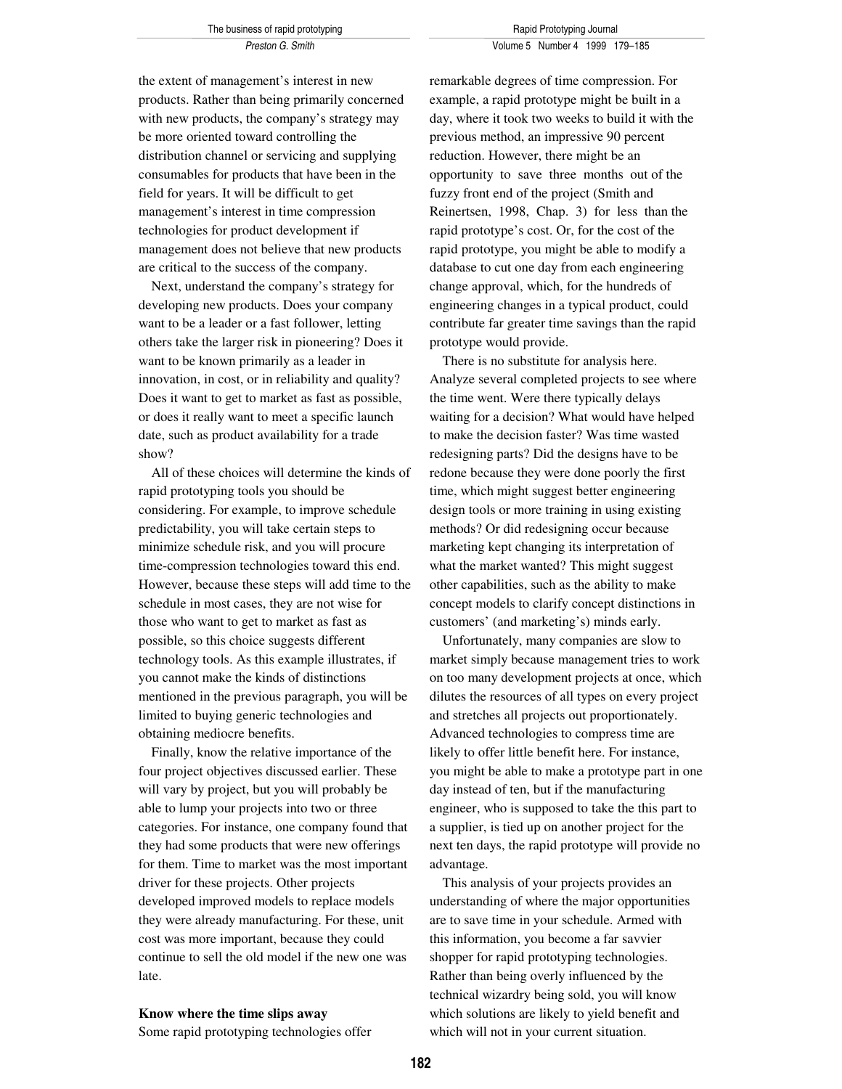the extent of management's interest in new products. Rather than being primarily concerned with new products, the company's strategy may be more oriented toward controlling the distribution channel or servicing and supplying consumables for products that have been in the field for years. It will be difficult to get management's interest in time compression technologies for product development if management does not believe that new products are critical to the success of the company.

Next, understand the company's strategy for developing new products. Does your company want to be a leader or a fast follower, letting others take the larger risk in pioneering? Does it want to be known primarily as a leader in innovation, in cost, or in reliability and quality? Does it want to get to market as fast as possible, or does it really want to meet a specific launch date, such as product availability for a trade show?

All of these choices will determine the kinds of rapid prototyping tools you should be considering. For example, to improve schedule predictability, you will take certain steps to minimize schedule risk, and you will procure time-compression technologies toward this end. However, because these steps will add time to the schedule in most cases, they are not wise for those who want to get to market as fast as possible, so this choice suggests different technology tools. As this example illustrates, if you cannot make the kinds of distinctions mentioned in the previous paragraph, you will be limited to buying generic technologies and obtaining mediocre benefits.

Finally, know the relative importance of the four project objectives discussed earlier. These will vary by project, but you will probably be able to lump your projects into two or three categories. For instance, one company found that they had some products that were new offerings for them. Time to market was the most important driver for these projects. Other projects developed improved models to replace models they were already manufacturing. For these, unit cost was more important, because they could continue to sell the old model if the new one was late.

## **Know where the time slips away**

Some rapid prototyping technologies offer

remarkable degrees of time compression. For example, a rapid prototype might be built in a day, where it took two weeks to build it with the previous method, an impressive 90 percent reduction. However, there might be an opportunity to save three months out of the fuzzy front end of the project (Smith and Reinertsen, 1998, Chap. 3) for less than the rapid prototype's cost. Or, for the cost of the rapid prototype, you might be able to modify a database to cut one day from each engineering change approval, which, for the hundreds of engineering changes in a typical product, could contribute far greater time savings than the rapid prototype would provide.

There is no substitute for analysis here. Analyze several completed projects to see where the time went. Were there typically delays waiting for a decision? What would have helped to make the decision faster? Was time wasted redesigning parts? Did the designs have to be redone because they were done poorly the first time, which might suggest better engineering design tools or more training in using existing methods? Or did redesigning occur because marketing kept changing its interpretation of what the market wanted? This might suggest other capabilities, such as the ability to make concept models to clarify concept distinctions in customers' (and marketing's) minds early.

Unfortunately, many companies are slow to market simply because management tries to work on too many development projects at once, which dilutes the resources of all types on every project and stretches all projects out proportionately. Advanced technologies to compress time are likely to offer little benefit here. For instance, you might be able to make a prototype part in one day instead of ten, but if the manufacturing engineer, who is supposed to take the this part to a supplier, is tied up on another project for the next ten days, the rapid prototype will provide no advantage.

This analysis of your projects provides an understanding of where the major opportunities are to save time in your schedule. Armed with this information, you become a far savvier shopper for rapid prototyping technologies. Rather than being overly influenced by the technical wizardry being sold, you will know which solutions are likely to yield benefit and which will not in your current situation.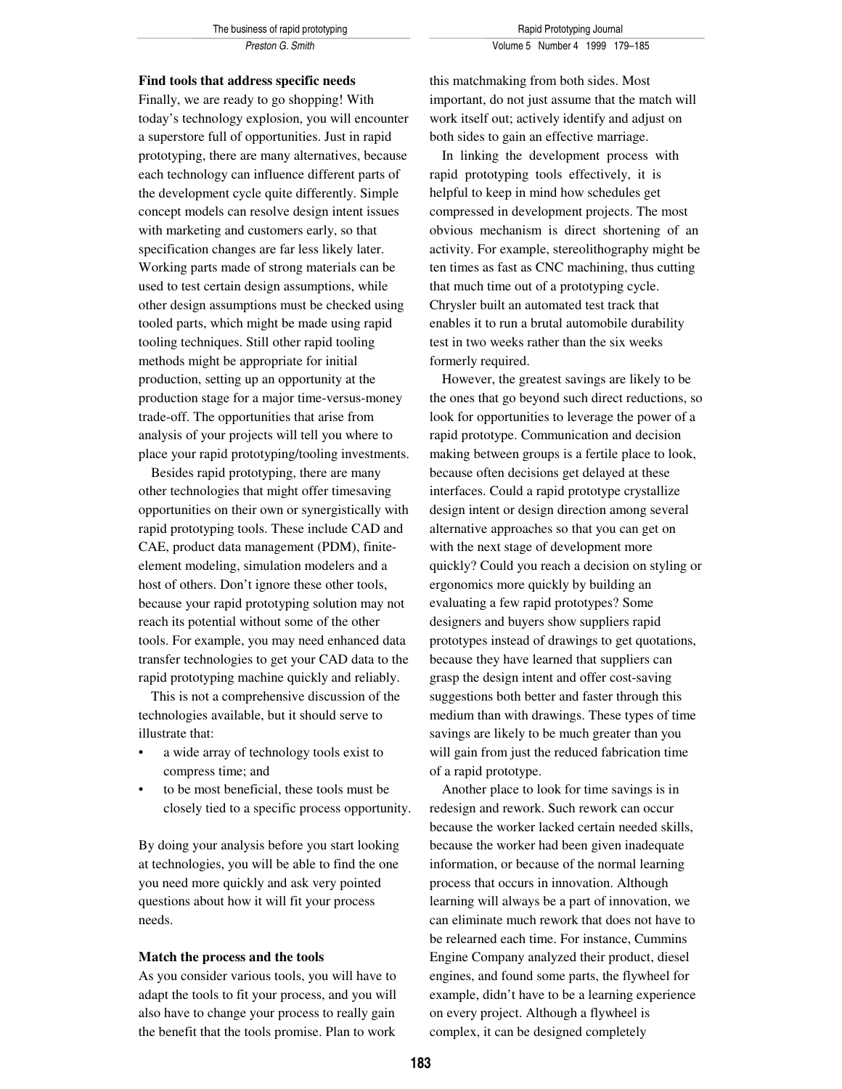# **Find tools that address specific needs**

Finally, we are ready to go shopping! With today's technology explosion, you will encounter a superstore full of opportunities. Just in rapid prototyping, there are many alternatives, because each technology can influence different parts of the development cycle quite differently. Simple concept models can resolve design intent issues with marketing and customers early, so that specification changes are far less likely later. Working parts made of strong materials can be used to test certain design assumptions, while other design assumptions must be checked using tooled parts, which might be made using rapid tooling techniques. Still other rapid tooling methods might be appropriate for initial production, setting up an opportunity at the production stage for a major time-versus-money trade-off. The opportunities that arise from analysis of your projects will tell you where to place your rapid prototyping/tooling investments.

Besides rapid prototyping, there are many other technologies that might offer timesaving opportunities on their own or synergistically with rapid prototyping tools. These include CAD and CAE, product data management (PDM), finiteelement modeling, simulation modelers and a host of others. Don't ignore these other tools, because your rapid prototyping solution may not reach its potential without some of the other tools. For example, you may need enhanced data transfer technologies to get your CAD data to the rapid prototyping machine quickly and reliably.

This is not a comprehensive discussion of the technologies available, but it should serve to illustrate that:

- a wide array of technology tools exist to compress time; and
- to be most beneficial, these tools must be closely tied to a specific process opportunity.

By doing your analysis before you start looking at technologies, you will be able to find the one you need more quickly and ask very pointed questions about how it will fit your process needs.

#### **Match the process and the tools**

As you consider various tools, you will have to adapt the tools to fit your process, and you will also have to change your process to really gain the benefit that the tools promise. Plan to work

this matchmaking from both sides. Most important, do not just assume that the match will work itself out; actively identify and adjust on both sides to gain an effective marriage.

In linking the development process with rapid prototyping tools effectively, it is helpful to keep in mind how schedules get compressed in development projects. The most obvious mechanism is direct shortening of an activity. For example, stereolithography might be ten times as fast as CNC machining, thus cutting that much time out of a prototyping cycle. Chrysler built an automated test track that enables it to run a brutal automobile durability test in two weeks rather than the six weeks formerly required.

However, the greatest savings are likely to be the ones that go beyond such direct reductions, so look for opportunities to leverage the power of a rapid prototype. Communication and decision making between groups is a fertile place to look, because often decisions get delayed at these interfaces. Could a rapid prototype crystallize design intent or design direction among several alternative approaches so that you can get on with the next stage of development more quickly? Could you reach a decision on styling or ergonomics more quickly by building an evaluating a few rapid prototypes? Some designers and buyers show suppliers rapid prototypes instead of drawings to get quotations, because they have learned that suppliers can grasp the design intent and offer cost-saving suggestions both better and faster through this medium than with drawings. These types of time savings are likely to be much greater than you will gain from just the reduced fabrication time of a rapid prototype.

Another place to look for time savings is in redesign and rework. Such rework can occur because the worker lacked certain needed skills, because the worker had been given inadequate information, or because of the normal learning process that occurs in innovation. Although learning will always be a part of innovation, we can eliminate much rework that does not have to be relearned each time. For instance, Cummins Engine Company analyzed their product, diesel engines, and found some parts, the flywheel for example, didn't have to be a learning experience on every project. Although a flywheel is complex, it can be designed completely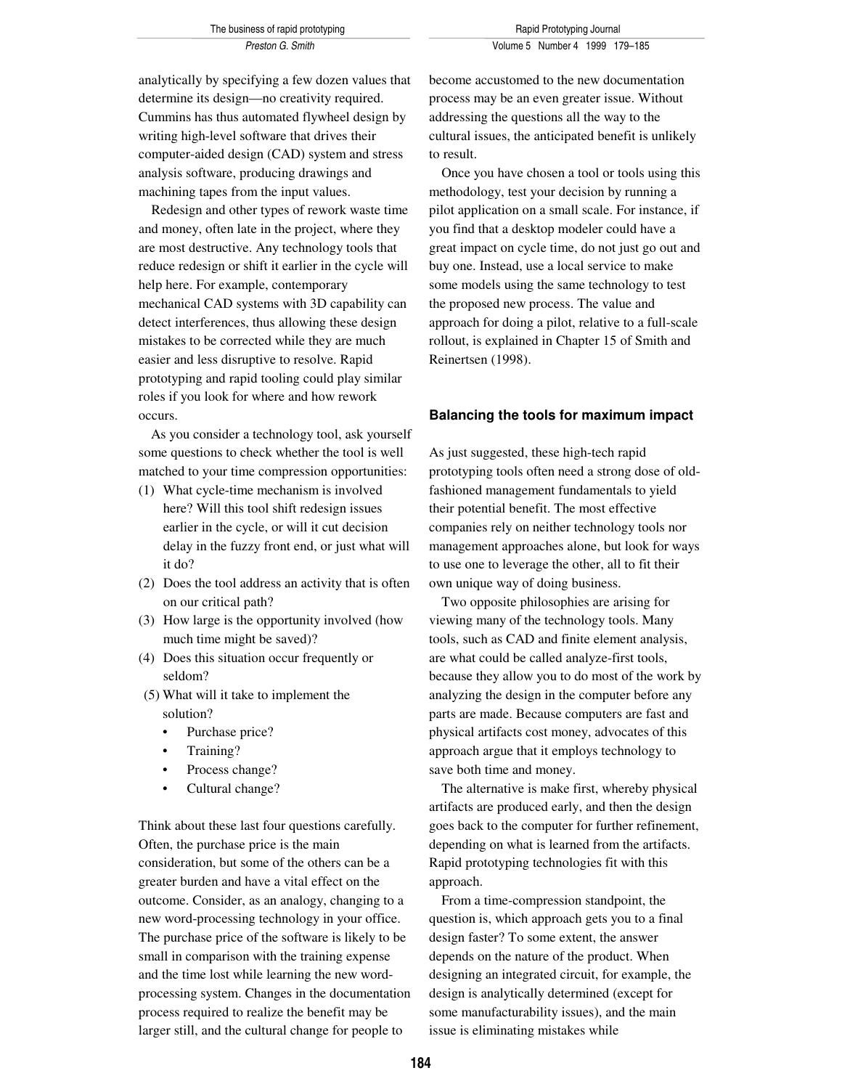analytically by specifying a few dozen values that determine its design—no creativity required. Cummins has thus automated flywheel design by writing high-level software that drives their computer-aided design (CAD) system and stress analysis software, producing drawings and machining tapes from the input values.

Redesign and other types of rework waste time and money, often late in the project, where they are most destructive. Any technology tools that reduce redesign or shift it earlier in the cycle will help here. For example, contemporary mechanical CAD systems with 3D capability can detect interferences, thus allowing these design mistakes to be corrected while they are much easier and less disruptive to resolve. Rapid prototyping and rapid tooling could play similar roles if you look for where and how rework occurs.

As you consider a technology tool, ask yourself some questions to check whether the tool is well matched to your time compression opportunities:

- (1) What cycle-time mechanism is involved here? Will this tool shift redesign issues earlier in the cycle, or will it cut decision delay in the fuzzy front end, or just what will it do?
- (2) Does the tool address an activity that is often on our critical path?
- (3) How large is the opportunity involved (how much time might be saved)?
- (4) Does this situation occur frequently or seldom?
- (5) What will it take to implement the solution?
	- Purchase price?
	- Training?
	- Process change?
	- Cultural change?

Think about these last four questions carefully. Often, the purchase price is the main consideration, but some of the others can be a greater burden and have a vital effect on the outcome. Consider, as an analogy, changing to a new word-processing technology in your office. The purchase price of the software is likely to be small in comparison with the training expense and the time lost while learning the new wordprocessing system. Changes in the documentation process required to realize the benefit may be larger still, and the cultural change for people to

become accustomed to the new documentation process may be an even greater issue. Without addressing the questions all the way to the cultural issues, the anticipated benefit is unlikely to result.

Once you have chosen a tool or tools using this methodology, test your decision by running a pilot application on a small scale. For instance, if you find that a desktop modeler could have a great impact on cycle time, do not just go out and buy one. Instead, use a local service to make some models using the same technology to test the proposed new process. The value and approach for doing a pilot, relative to a full-scale rollout, is explained in Chapter 15 of Smith and Reinertsen (1998).

## **Balancing the tools for maximum impact**

As just suggested, these high-tech rapid prototyping tools often need a strong dose of oldfashioned management fundamentals to yield their potential benefit. The most effective companies rely on neither technology tools nor management approaches alone, but look for ways to use one to leverage the other, all to fit their own unique way of doing business.

Two opposite philosophies are arising for viewing many of the technology tools. Many tools, such as CAD and finite element analysis, are what could be called analyze-first tools, because they allow you to do most of the work by analyzing the design in the computer before any parts are made. Because computers are fast and physical artifacts cost money, advocates of this approach argue that it employs technology to save both time and money.

The alternative is make first, whereby physical artifacts are produced early, and then the design goes back to the computer for further refinement, depending on what is learned from the artifacts. Rapid prototyping technologies fit with this approach.

From a time-compression standpoint, the question is, which approach gets you to a final design faster? To some extent, the answer depends on the nature of the product. When designing an integrated circuit, for example, the design is analytically determined (except for some manufacturability issues), and the main issue is eliminating mistakes while